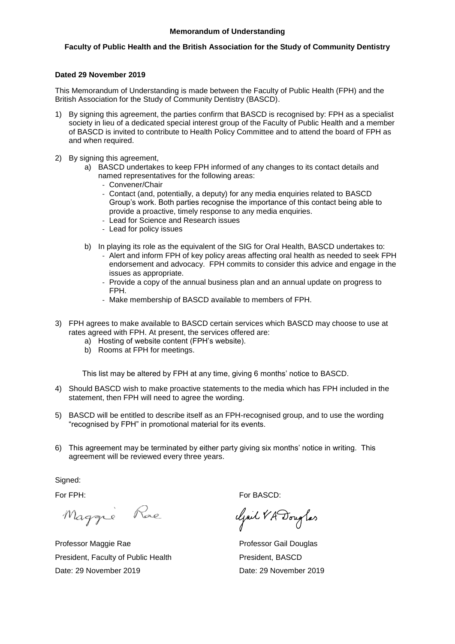## **Faculty of Public Health and the British Association for the Study of Community Dentistry**

### **Dated 29 November 2019**

This Memorandum of Understanding is made between the Faculty of Public Health (FPH) and the British Association for the Study of Community Dentistry (BASCD).

- 1) By signing this agreement, the parties confirm that BASCD is recognised by: FPH as a specialist society in lieu of a dedicated special interest group of the Faculty of Public Health and a member of BASCD is invited to contribute to Health Policy Committee and to attend the board of FPH as and when required.
- 2) By signing this agreement,
	- a) BASCD undertakes to keep FPH informed of any changes to its contact details and named representatives for the following areas:
		- Convener/Chair
		- Contact (and, potentially, a deputy) for any media enquiries related to BASCD Group's work. Both parties recognise the importance of this contact being able to provide a proactive, timely response to any media enquiries.
		- Lead for Science and Research issues
		- Lead for policy issues
	- b) In playing its role as the equivalent of the SIG for Oral Health, BASCD undertakes to:
		- Alert and inform FPH of key policy areas affecting oral health as needed to seek FPH endorsement and advocacy. FPH commits to consider this advice and engage in the issues as appropriate.
		- Provide a copy of the annual business plan and an annual update on progress to FPH.
		- Make membership of BASCD available to members of FPH.
- 3) FPH agrees to make available to BASCD certain services which BASCD may choose to use at rates agreed with FPH. At present, the services offered are:
	- a) Hosting of website content (FPH's website).
	- b) Rooms at FPH for meetings.

This list may be altered by FPH at any time, giving 6 months' notice to BASCD.

- 4) Should BASCD wish to make proactive statements to the media which has FPH included in the statement, then FPH will need to agree the wording.
- 5) BASCD will be entitled to describe itself as an FPH-recognised group, and to use the wording "recognised by FPH" in promotional material for its events.
- 6) This agreement may be terminated by either party giving six months' notice in writing. This agreement will be reviewed every three years.

Signed:

Maggie Rae

Professor Maggie Rae **Professor Gail Douglas** President, Faculty of Public Health President, BASCD Date: 29 November 2019 Date: 29 November 2019

For FPH: For BASCD:

Clair VA Douglas